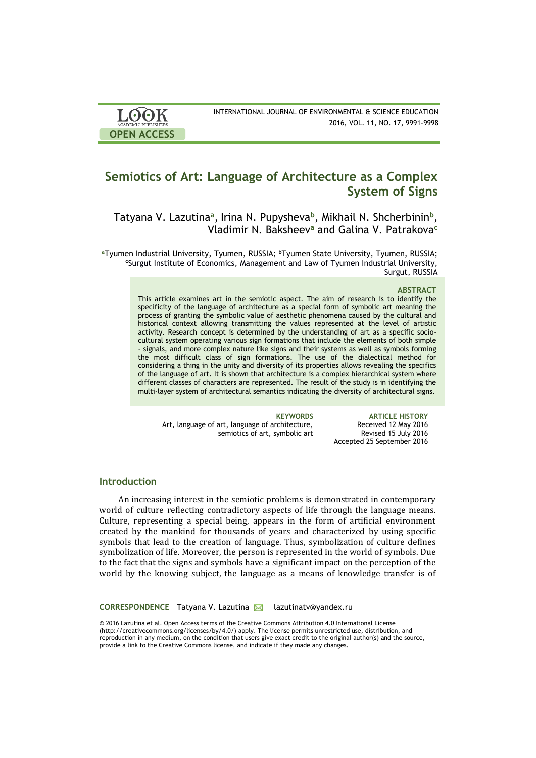| <b>LOOK</b>         | INTERNATIONAL JOURNAL OF ENVIRONMENTAL & SCIENCE EDUCATION |
|---------------------|------------------------------------------------------------|
| ACADEMIC PUBLISHERS | 2016, VOL. 11, NO. 17, 9991-9998                           |
| <b>OPEN ACCESS</b>  |                                                            |

# **Semiotics of Art: Language of Architecture as a Complex System of Signs**

Tatyana V. Lazutina<sup>a</sup>, Irina N. Pupysheva<sup>b</sup>, Mikhail N. Shcherbinin<sup>b</sup>, Vladimir N. Baksheev**<sup>a</sup>** and Galina V. Patrakova**<sup>c</sup>**

<sup>a</sup>Tyumen Industrial University, Tyumen, RUSSIA; <sup>b</sup>Tyumen State University, Tyumen, RUSSIA; **<sup>c</sup>**Surgut Institute of Economics, Management and Law of Tyumen Industrial University, Surgut, RUSSIA

### **ABSTRACT**

This article examines art in the semiotic aspect. The aim of research is to identify the specificity of the language of architecture as a special form of symbolic art meaning the process of granting the symbolic value of aesthetic phenomena caused by the cultural and historical context allowing transmitting the values represented at the level of artistic activity. Research concept is determined by the understanding of art as a specific sociocultural system operating various sign formations that include the elements of both simple - signals, and more complex nature like signs and their systems as well as symbols forming the most difficult class of sign formations. The use of the dialectical method for considering a thing in the unity and diversity of its properties allows revealing the specifics of the language of art. It is shown that architecture is a complex hierarchical system where different classes of characters are represented. The result of the study is in identifying the multi-layer system of architectural semantics indicating the diversity of architectural signs.

Art, language of art, language of architecture, semiotics of art, symbolic art

**KEYWORDS ARTICLE HISTORY** Received 12 May 2016 Revised 15 July 2016 Accepted 25 September 2016

# **Introduction**

An increasing interest in the semiotic problems is demonstrated in contemporary world of culture reflecting contradictory aspects of life through the language means. Culture, representing a special being, appears in the form of artificial environment created by the mankind for thousands of years and characterized by using specific symbols that lead to the creation of language. Thus, symbolization of culture defines symbolization of life. Moreover, the person is represented in the world of symbols. Due to the fact that the signs and symbols have a significant impact on the perception of the world by the knowing subject, the language as a means of knowledge transfer is of

CORRESPONDENCE Tatyana V. Lazutina **M** lazutinatv@yandex.ru

© 2016 Lazutina et al. Open Access terms of the Creative Commons Attribution 4.0 International License (http://creativecommons.org/licenses/by/4.0/) apply. The license permits unrestricted use, distribution, and reproduction in any medium, on the condition that users give exact credit to the original author(s) and the source, provide a link to the Creative Commons license, and indicate if they made any changes.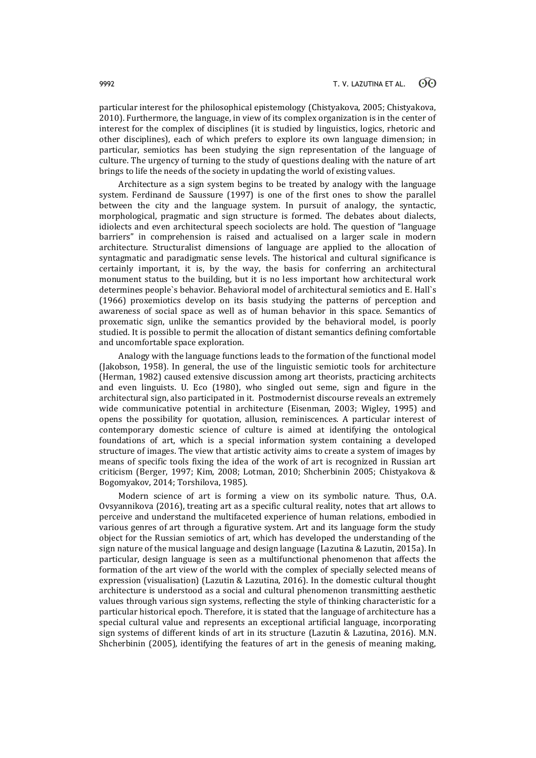particular interest for the philosophical epistemology (Chistyakova, 2005; Chistyakova, 2010). Furthermore, the language, in view of its complex organization is in the center of interest for the complex of disciplines (it is studied by linguistics, logics, rhetoric and other disciplines), each of which prefers to explore its own language dimension; in particular, semiotics has been studying the sign representation of the language of culture. The urgency of turning to the study of questions dealing with the nature of art brings to life the needs of the society in updating the world of existing values.

Architecture as a sign system begins to be treated by analogy with the language system. Ferdinand de Saussure (1997) is one of the first ones to show the parallel between the city and the language system. In pursuit of analogy, the syntactic, morphological, pragmatic and sign structure is formed. The debates about dialects, idiolects and even architectural speech sociolects are hold. The question of "language barriers" in comprehension is raised and actualised on a larger scale in modern architecture. Structuralist dimensions of language are applied to the allocation of syntagmatic and paradigmatic sense levels. The historical and cultural significance is certainly important, it is, by the way, the basis for conferring an architectural monument status to the building, but it is no less important how architectural work determines people`s behavior. Behavioral model of architectural semiotics and E. Hall`s (1966) proxemiotics develop on its basis studying the patterns of perception and awareness of social space as well as of human behavior in this space. Semantics of proxematic sign, unlike the semantics provided by the behavioral model, is poorly studied. It is possible to permit the allocation of distant semantics defining comfortable and uncomfortable space exploration.

Analogy with the language functions leads to the formation of the functional model (Jakobson, 1958). In general, the use of the linguistic semiotic tools for architecture (Herman, 1982) caused extensive discussion among art theorists, practicing architects and even linguists. U. Eco (1980), who singled out seme, sign and figure in the architectural sign, also participated in it. Postmodernist discourse reveals an extremely wide communicative potential in architecture (Eisenman, 2003; Wigley, 1995) and opens the possibility for quotation, allusion, reminiscences. A particular interest of contemporary domestic science of culture is aimed at identifying the ontological foundations of art, which is a special information system containing a developed structure of images. The view that artistic activity aims to create a system of images by means of specific tools fixing the idea of the work of art is recognized in Russian art criticism (Berger, 1997; Kim, 2008; Lotman, 2010; Shcherbinin 2005; Chistyakova & Bogomyakov, 2014; Torshilova, 1985).

Modern science of art is forming a view on its symbolic nature. Thus, O.A. Ovsyannikova (2016), treating art as a specific cultural reality, notes that art allows to perceive and understand the multifaceted experience of human relations, embodied in various genres of art through a figurative system. Art and its language form the study object for the Russian semiotics of art, which has developed the understanding of the sign nature of the musical language and design language (Lazutina & Lazutin, 2015a). In particular, design language is seen as a multifunctional phenomenon that affects the formation of the art view of the world with the complex of specially selected means of expression (visualisation) (Lazutin & Lazutina, 2016). In the domestic cultural thought architecture is understood as a social and cultural phenomenon transmitting aesthetic values through various sign systems, reflecting the style of thinking characteristic for a particular historical epoch. Therefore, it is stated that the language of architecture has a special cultural value and represents an exceptional artificial language, incorporating sign systems of different kinds of art in its structure (Lazutin & Lazutina, 2016). M.N. Shcherbinin (2005), identifying the features of art in the genesis of meaning making,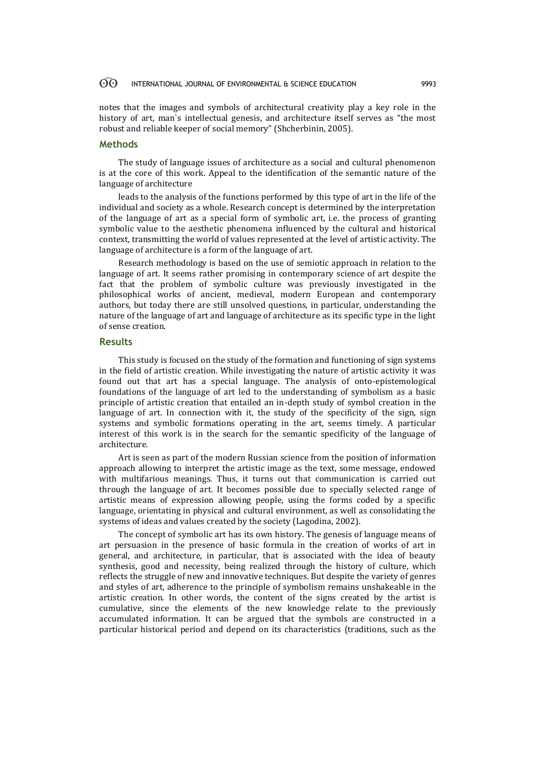#### $\odot$ INTERNATIONAL JOURNAL OF ENVIRONMENTAL & SCIENCE EDUCATION 9993

notes that the images and symbols of architectural creativity play a key role in the history of art, man`s intellectual genesis, and architecture itself serves as "the most robust and reliable keeper of social memory" (Shcherbinin, 2005).

## **Methods**

The study of language issues of architecture as a social and cultural phenomenon is at the core of this work. Appeal to the identification of the semantic nature of the language of architecture

leads to the analysis of the functions performed by this type of art in the life of the individual and society as a whole. Research concept is determined by the interpretation of the language of art as a special form of symbolic art, i.e. the process of granting symbolic value to the aesthetic phenomena influenced by the cultural and historical context, transmitting the world of values represented at the level of artistic activity. The language of architecture is a form of the language of art.

Research methodology is based on the use of semiotic approach in relation to the language of art. It seems rather promising in contemporary science of art despite the fact that the problem of symbolic culture was previously investigated in the philosophical works of ancient, medieval, modern European and contemporary authors, but today there are still unsolved questions, in particular, understanding the nature of the language of art and language of architecture as its specific type in the light of sense creation.

### **Results**

This study is focused on the study of the formation and functioning of sign systems in the field of artistic creation. While investigating the nature of artistic activity it was found out that art has a special language. The analysis of onto-epistemological foundations of the language of art led to the understanding of symbolism as a basic principle of artistic creation that entailed an in-depth study of symbol creation in the language of art. In connection with it, the study of the specificity of the sign, sign systems and symbolic formations operating in the art, seems timely. A particular interest of this work is in the search for the semantic specificity of the language of architecture.

Art is seen as part of the modern Russian science from the position of information approach allowing to interpret the artistic image as the text, some message, endowed with multifarious meanings. Thus, it turns out that communication is carried out through the language of art. It becomes possible due to specially selected range of artistic means of expression allowing people, using the forms coded by a specific language, orientating in physical and cultural environment, as well as consolidating the systems of ideas and values created by the society (Lagodina, 2002).

The concept of symbolic art has its own history. The genesis of language means of art persuasion in the presence of basic formula in the creation of works of art in general, and architecture, in particular, that is associated with the idea of beauty synthesis, good and necessity, being realized through the history of culture, which reflects the struggle of new and innovative techniques. But despite the variety of genres and styles of art, adherence to the principle of symbolism remains unshakeable in the artistic creation. In other words, the content of the signs created by the artist is cumulative, since the elements of the new knowledge relate to the previously accumulated information. It can be argued that the symbols are constructed in a particular historical period and depend on its characteristics (traditions, such as the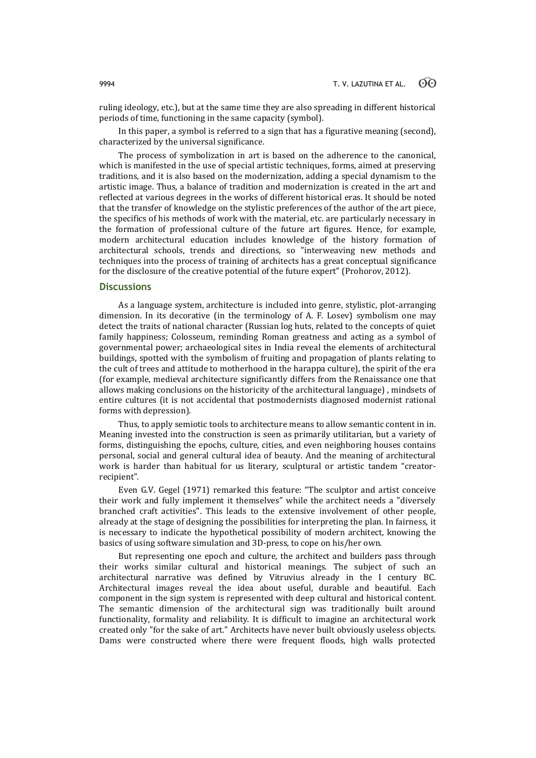ruling ideology, etc.), but at the same time they are also spreading in different historical periods of time, functioning in the same capacity (symbol).

In this paper, a symbol is referred to a sign that has a figurative meaning (second), characterized by the universal significance.

The process of symbolization in art is based on the adherence to the canonical, which is manifested in the use of special artistic techniques, forms, aimed at preserving traditions, and it is also based on the modernization, adding a special dynamism to the artistic image. Thus, a balance of tradition and modernization is created in the art and reflected at various degrees in the works of different historical eras. It should be noted that the transfer of knowledge on the stylistic preferences of the author of the art piece, the specifics of his methods of work with the material, etc. are particularly necessary in the formation of professional culture of the future art figures. Hence, for example, modern architectural education includes knowledge of the history formation of architectural schools, trends and directions, so "interweaving new methods and techniques into the process of training of architects has a great conceptual significance for the disclosure of the creative potential of the future expert" (Prohorov, 2012).

### **Discussions**

As a language system, architecture is included into genre, stylistic, plot-arranging dimension. In its decorative (in the terminology of A. F. Losev) symbolism one may detect the traits of national character (Russian log huts, related to the concepts of quiet family happiness; Colosseum, reminding Roman greatness and acting as a symbol of governmental power; archaeological sites in India reveal the elements of architectural buildings, spotted with the symbolism of fruiting and propagation of plants relating to the cult of trees and attitude to motherhood in the harappa culture), the spirit of the era (for example, medieval architecture significantly differs from the Renaissance one that allows making conclusions on the historicity of the architectural language) , mindsets of entire cultures (it is not accidental that postmodernists diagnosed modernist rational forms with depression).

Thus, to apply semiotic tools to architecture means to allow semantic content in in. Meaning invested into the construction is seen as primarily utilitarian, but a variety of forms, distinguishing the epochs, culture, cities, and even neighboring houses contains personal, social and general cultural idea of beauty. And the meaning of architectural work is harder than habitual for us literary, sculptural or artistic tandem "creatorrecipient".

Even G.V. Gegel (1971) remarked this feature: "The sculptor and artist conceive their work and fully implement it themselves" while the architect needs a "diversely branched craft activities". This leads to the extensive involvement of other people, already at the stage of designing the possibilities for interpreting the plan. In fairness, it is necessary to indicate the hypothetical possibility of modern architect, knowing the basics of using software simulation and 3D-press, to cope on his/her own.

But representing one epoch and culture, the architect and builders pass through their works similar cultural and historical meanings. The subject of such an architectural narrative was defined by Vitruvius already in the I century BC. Architectural images reveal the idea about useful, durable and beautiful. Each component in the sign system is represented with deep cultural and historical content. The semantic dimension of the architectural sign was traditionally built around functionality, formality and reliability. It is difficult to imagine an architectural work created only "for the sake of art." Architects have never built obviously useless objects. Dams were constructed where there were frequent floods, high walls protected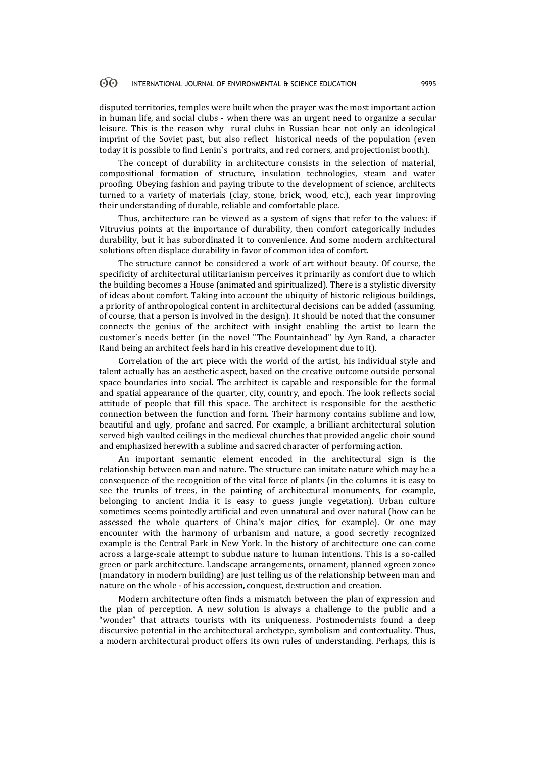#### 60 INTERNATIONAL JOURNAL OF ENVIRONMENTAL & SCIENCE EDUCATION 9995

disputed territories, temples were built when the prayer was the most important action in human life, and social clubs - when there was an urgent need to organize a secular leisure. This is the reason why rural clubs in Russian bear not only an ideological imprint of the Soviet past, but also reflect historical needs of the population (even today it is possible to find Lenin`s portraits, and red corners, and projectionist booth).

The concept of durability in architecture consists in the selection of material, compositional formation of structure, insulation technologies, steam and water proofing. Obeying fashion and paying tribute to the development of science, architects turned to a variety of materials (clay, stone, brick, wood, etc.), each year improving their understanding of durable, reliable and comfortable place.

Thus, architecture can be viewed as a system of signs that refer to the values: if Vitruvius points at the importance of durability, then comfort categorically includes durability, but it has subordinated it to convenience. And some modern architectural solutions often displace durability in favor of common idea of comfort.

The structure cannot be considered a work of art without beauty. Of course, the specificity of architectural utilitarianism perceives it primarily as comfort due to which the building becomes a House (animated and spiritualized). There is a stylistic diversity of ideas about comfort. Taking into account the ubiquity of historic religious buildings, a priority of anthropological content in architectural decisions can be added (assuming, of course, that a person is involved in the design). It should be noted that the consumer connects the genius of the architect with insight enabling the artist to learn the customer`s needs better (in the novel "The Fountainhead" by Ayn Rand, a character Rand being an architect feels hard in his creative development due to it).

Correlation of the art piece with the world of the artist, his individual style and talent actually has an aesthetic aspect, based on the creative outcome outside personal space boundaries into social. The architect is capable and responsible for the formal and spatial appearance of the quarter, city, country, and epoch. The look reflects social attitude of people that fill this space. The architect is responsible for the aesthetic connection between the function and form. Their harmony contains sublime and low, beautiful and ugly, profane and sacred. For example, a brilliant architectural solution served high vaulted ceilings in the medieval churches that provided angelic choir sound and emphasized herewith a sublime and sacred character of performing action.

An important semantic element encoded in the architectural sign is the relationship between man and nature. The structure can imitate nature which may be a consequence of the recognition of the vital force of plants (in the columns it is easy to see the trunks of trees, in the painting of architectural monuments, for example, belonging to ancient India it is easy to guess jungle vegetation). Urban culture sometimes seems pointedly artificial and even unnatural and over natural (how can be assessed the whole quarters of China's major cities, for example). Or one may encounter with the harmony of urbanism and nature, a good secretly recognized example is the Central Park in New York. In the history of architecture one can come across a large-scale attempt to subdue nature to human intentions. This is a so-called green or park architecture. Landscape arrangements, ornament, planned «green zone» (mandatory in modern building) are just telling us of the relationship between man and nature on the whole - of his accession, conquest, destruction and creation.

Modern architecture often finds a mismatch between the plan of expression and the plan of perception. A new solution is always a challenge to the public and a "wonder" that attracts tourists with its uniqueness. Postmodernists found a deep discursive potential in the architectural archetype, symbolism and contextuality. Thus, a modern architectural product offers its own rules of understanding. Perhaps, this is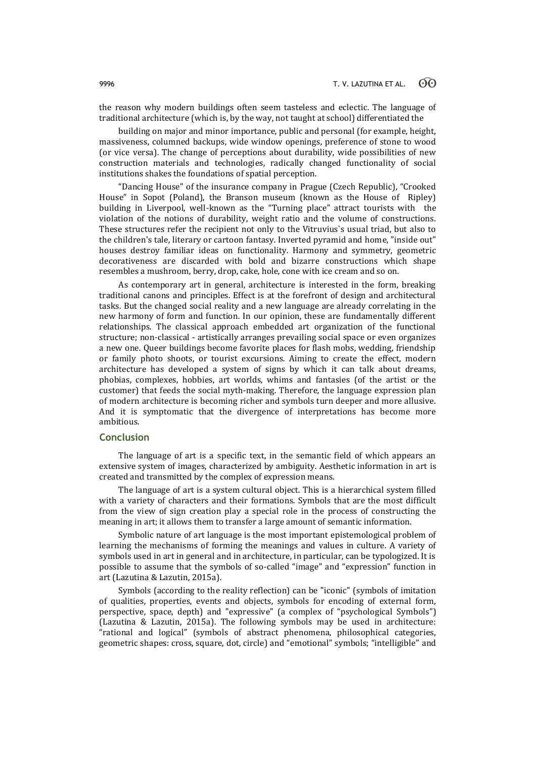the reason why modern buildings often seem tasteless and eclectic. The language of traditional architecture (which is, by the way, not taught at school) differentiated the

building on major and minor importance, public and personal (for example, height, massiveness, columned backups, wide window openings, preference of stone to wood (or vice versa). The change of perceptions about durability, wide possibilities of new construction materials and technologies, radically changed functionality of social institutions shakes the foundations of spatial perception.

"Dancing House" of the insurance company in Prague (Czech Republic), "Crooked House" in Sopot (Poland), the Branson museum (known as the House of Ripley) building in Liverpool, well-known as the "Turning place" attract tourists with the violation of the notions of durability, weight ratio and the volume of constructions. These structures refer the recipient not only to the Vitruvius`s usual triad, but also to the children's tale, literary or cartoon fantasy. Inverted pyramid and home, "inside out" houses destroy familiar ideas on functionality. Harmony and symmetry, geometric decorativeness are discarded with bold and bizarre constructions which shape resembles a mushroom, berry, drop, cake, hole, cone with ice cream and so on.

As contemporary art in general, architecture is interested in the form, breaking traditional canons and principles. Effect is at the forefront of design and architectural tasks. But the changed social reality and a new language are already correlating in the new harmony of form and function. In our opinion, these are fundamentally different relationships. The classical approach embedded art organization of the functional structure; non-classical - artistically arranges prevailing social space or even organizes a new one. Queer buildings become favorite places for flash mobs, wedding, friendship or family photo shoots, or tourist excursions. Aiming to create the effect, modern architecture has developed a system of signs by which it can talk about dreams, phobias, complexes, hobbies, art worlds, whims and fantasies (of the artist or the customer) that feeds the social myth-making. Therefore, the language expression plan of modern architecture is becoming richer and symbols turn deeper and more allusive. And it is symptomatic that the divergence of interpretations has become more ambitious.

# **Conclusion**

The language of art is a specific text, in the semantic field of which appears an extensive system of images, characterized by ambiguity. Aesthetic information in art is created and transmitted by the complex of expression means.

The language of art is a system cultural object. This is a hierarchical system filled with a variety of characters and their formations. Symbols that are the most difficult from the view of sign creation play a special role in the process of constructing the meaning in art; it allows them to transfer a large amount of semantic information.

Symbolic nature of art language is the most important epistemological problem of learning the mechanisms of forming the meanings and values in culture. A variety of symbols used in art in general and in architecture, in particular, can be typologized. It is possible to assume that the symbols of so-called "image" and "expression" function in art (Lazutina & Lazutin, 2015a).

Symbols (according to the reality reflection) can be "iconic" (symbols of imitation of qualities, properties, events and objects, symbols for encoding of external form, perspective, space, depth) and "expressive" (a complex of "psychological Symbols") (Lazutina & Lazutin, 2015a). The following symbols may be used in architecture: "rational and logical" (symbols of abstract phenomena, philosophical categories, geometric shapes: cross, square, dot, circle) and "emotional" symbols; "intelligible" and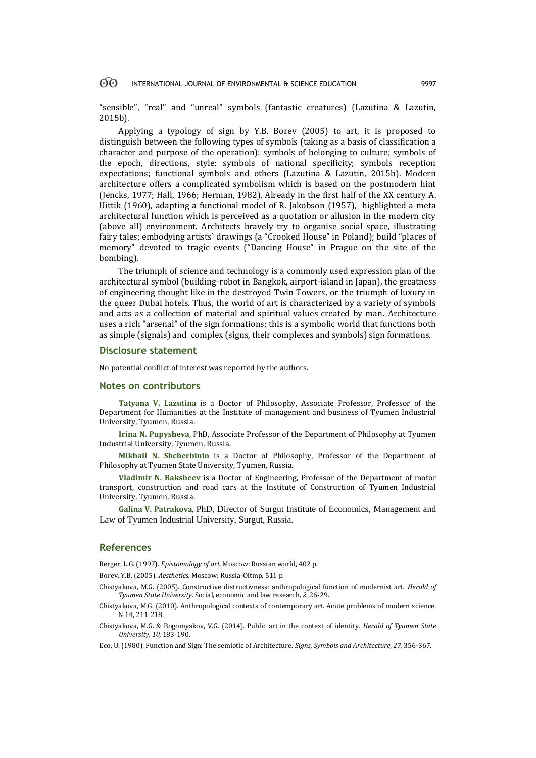#### $\odot$ INTERNATIONAL JOURNAL OF ENVIRONMENTAL & SCIENCE EDUCATION 9997

"sensible", "real" and "unreal" symbols (fantastic creatures) (Lazutina & Lazutin, 2015b).

Applying a typology of sign by Y.B. Borev (2005) to art, it is proposed to distinguish between the following types of symbols (taking as a basis of classification a character and purpose of the operation): symbols of belonging to culture; symbols of the epoch, directions, style; symbols of national specificity; symbols reception expectations; functional symbols and others (Lazutina & Lazutin, 2015b). Modern architecture offers a complicated symbolism which is based on the postmodern hint (Jencks, 1977; Hall, 1966; Herman, 1982). Already in the first half of the XX century A. Uittik (1960), adapting a functional model of R. Jakobson (1957), highlighted a meta architectural function which is perceived as a quotation or allusion in the modern city (above all) environment. Architects bravely try to organise social space, illustrating fairy tales; embodying artists` drawings (a "Crooked House" in Poland); build "places of memory" devoted to tragic events ("Dancing House" in Prague on the site of the bombing).

The triumph of science and technology is a commonly used expression plan of the architectural symbol (building-robot in Bangkok, airport-island in Japan), the greatness of engineering thought like in the destroyed Twin Towers, or the triumph of luxury in the queer Dubai hotels. Thus, the world of art is characterized by a variety of symbols and acts as a collection of material and spiritual values created by man. Architecture uses a rich "arsenal" of the sign formations; this is a symbolic world that functions both as simple (signals) and complex (signs, their complexes and symbols) sign formations.

### **Disclosure statement**

No potential conflict of interest was reported by the authors.

### **Notes on contributors**

**Tatyana V. Lazutina** is a Doctor of Philosophy, Associate Professor, Professor of the Department for Humanities at the Institute of management and business of Tyumen Industrial University, Tyumen, Russia.

**Irina N. Pupysheva**, PhD, Associate Professor of the Department of Philosophy at Tyumen Industrial University, Tyumen, Russia.

**Mikhail N. Shcherbinin** is a Doctor of Philosophy, Professor of the Department of Philosophy at Tyumen State University, Tyumen, Russia.

**Vladimir N. Baksheev** is a Doctor of Engineering, Professor of the Department of motor transport, construction and road cars at the Institute of Construction of Tyumen Industrial University, Tyumen, Russia.

**Galina V. Patrakova**, PhD, Director of Surgut Institute of Economics, Management and Law of Tyumen Industrial University, Surgut, Russia.

### **References**

Berger, L.G. (1997). *Epistomology of art.* Moscow: Russian world, 402 p.

Borev, Y.B. (2005). *Aesthetics.* Moscow: Russia-Oltmp, 511 p.

- Chistyakova, M.G. (2005). Constructive distructivness: anthropological function of modernist art. *Herald of Tyumen State University*. Social, economic and law research*, 2,* 26-29.
- Chistyakova, M.G. (2010). Anthropological contexts of contemporary art. Acute problems of modern science, N 14, 211-218.
- Chistyakova, M.G. & Bogomyakov, V.G. (2014). Public art in the context of identity*. Herald of Tyumen State University, 10,* 183-190.

Eco, U. (1980). Function and Sign: The semiotic of Architecture. *Signs, Symbols and Architecture, 27,* 356-367.